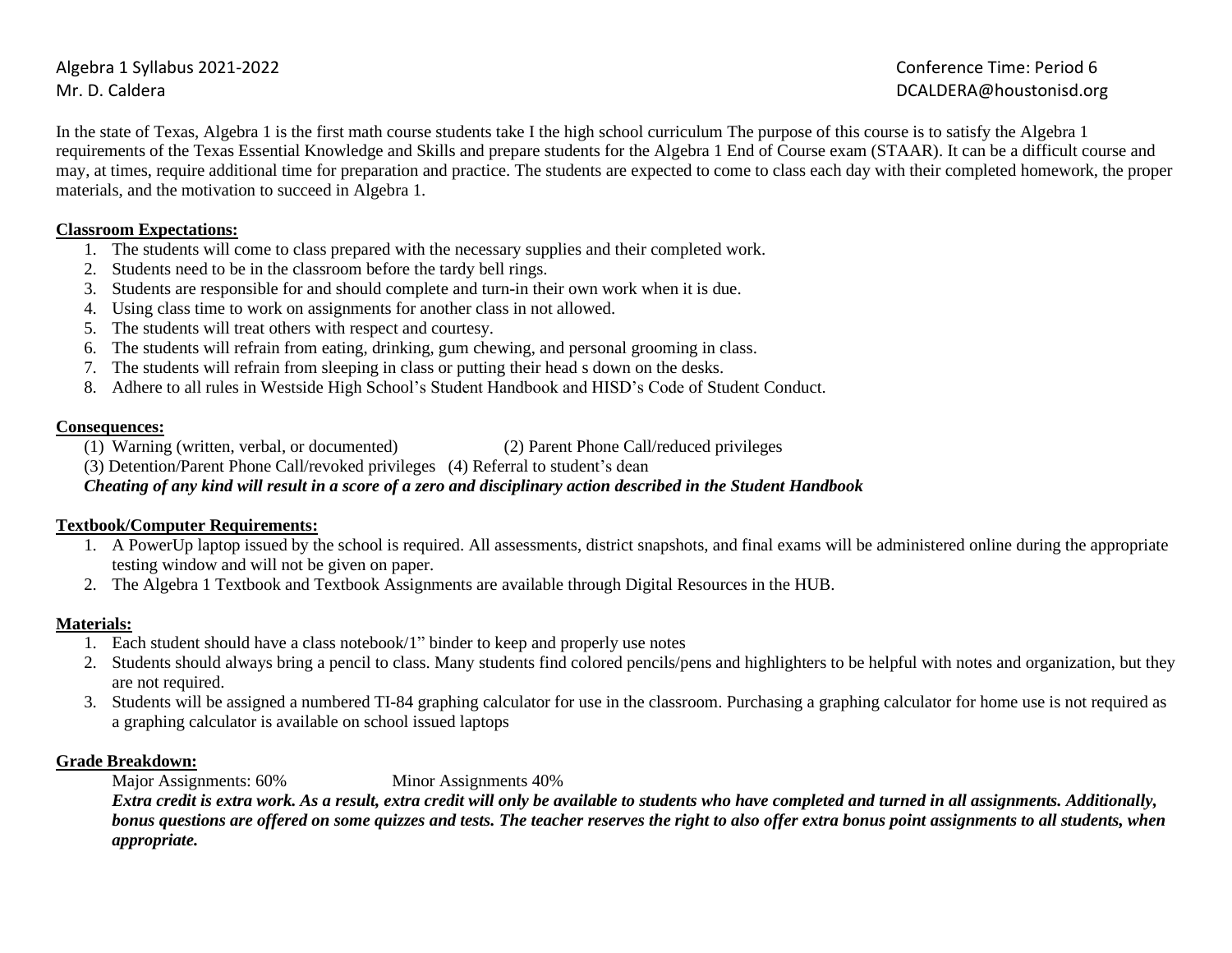Algebra 1 Syllabus 2021-2022 Conference Time: Period 6 Mr. D. Caldera **DCALDERA@houstonisd.org DCALDERA@houstonisd.org** 

In the state of Texas, Algebra 1 is the first math course students take I the high school curriculum The purpose of this course is to satisfy the Algebra 1 requirements of the Texas Essential Knowledge and Skills and prepare students for the Algebra 1 End of Course exam (STAAR). It can be a difficult course and may, at times, require additional time for preparation and practice. The students are expected to come to class each day with their completed homework, the proper materials, and the motivation to succeed in Algebra 1.

#### **Classroom Expectations:**

- 1. The students will come to class prepared with the necessary supplies and their completed work.
- 2. Students need to be in the classroom before the tardy bell rings.
- 3. Students are responsible for and should complete and turn-in their own work when it is due.
- 4. Using class time to work on assignments for another class in not allowed.
- 5. The students will treat others with respect and courtesy.
- 6. The students will refrain from eating, drinking, gum chewing, and personal grooming in class.
- 7. The students will refrain from sleeping in class or putting their head s down on the desks.
- 8. Adhere to all rules in Westside High School's Student Handbook and HISD's Code of Student Conduct.

#### **Consequences:**

- (1) Warning (written, verbal, or documented) (2) Parent Phone Call/reduced privileges
- (3) Detention/Parent Phone Call/revoked privileges (4) Referral to student's dean

### *Cheating of any kind will result in a score of a zero and disciplinary action described in the Student Handbook*

#### **Textbook/Computer Requirements:**

- 1. A PowerUp laptop issued by the school is required. All assessments, district snapshots, and final exams will be administered online during the appropriate testing window and will not be given on paper.
- 2. The Algebra 1 Textbook and Textbook Assignments are available through Digital Resources in the HUB.

### **Materials:**

- 1. Each student should have a class notebook/1" binder to keep and properly use notes
- 2. Students should always bring a pencil to class. Many students find colored pencils/pens and highlighters to be helpful with notes and organization, but they are not required.
- 3. Students will be assigned a numbered TI-84 graphing calculator for use in the classroom. Purchasing a graphing calculator for home use is not required as a graphing calculator is available on school issued laptops

### **Grade Breakdown:**

Major Assignments: 60% Minor Assignments 40%

*Extra credit is extra work. As a result, extra credit will only be available to students who have completed and turned in all assignments. Additionally, bonus questions are offered on some quizzes and tests. The teacher reserves the right to also offer extra bonus point assignments to all students, when appropriate.*